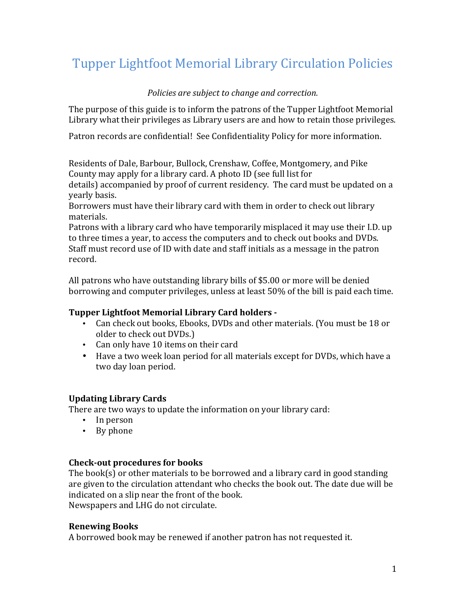# Tupper Lightfoot Memorial Library Circulation Policies

## *Policies are subject to change and correction.*

The purpose of this guide is to inform the patrons of the Tupper Lightfoot Memorial Library what their privileges as Library users are and how to retain those privileges.

Patron records are confidential! See Confidentiality Policy for more information.

Residents of Dale, Barbour, Bullock, Crenshaw, Coffee, Montgomery, and Pike County may apply for a library card. A photo ID (see full list for

details) accompanied by proof of current residency. The card must be updated on a yearly basis.

Borrowers must have their library card with them in order to check out library materials. 

Patrons with a library card who have temporarily misplaced it may use their I.D. up to three times a year, to access the computers and to check out books and DVDs. Staff must record use of ID with date and staff initials as a message in the patron record.

All patrons who have outstanding library bills of \$5.00 or more will be denied borrowing and computer privileges, unless at least 50% of the bill is paid each time.

## **Tupper Lightfoot Memorial Library Card holders -**

- Can check out books, Ebooks, DVDs and other materials. (You must be 18 or older to check out DVDs.)
- Can only have 10 items on their card
- Have a two week loan period for all materials except for DVDs, which have a two day loan period.

## **Updating Library Cards**

There are two ways to update the information on your library card:

- In person
- By phone

## **Check-out procedures for books**

The book(s) or other materials to be borrowed and a library card in good standing are given to the circulation attendant who checks the book out. The date due will be indicated on a slip near the front of the book.

Newspapers and LHG do not circulate.

## **Renewing Books**

A borrowed book may be renewed if another patron has not requested it.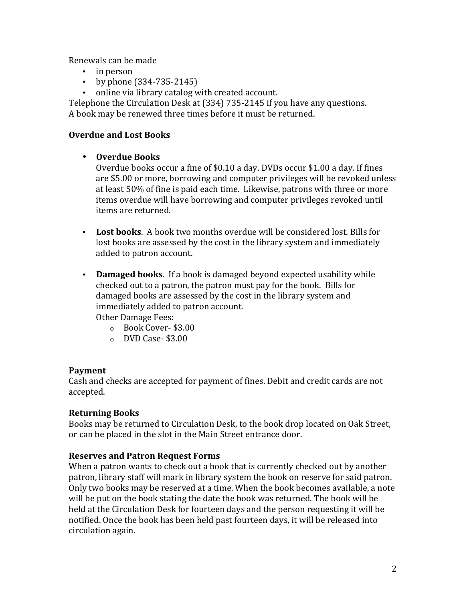Renewals can be made

- in person
- by phone  $(334-735-2145)$
- online via library catalog with created account.

Telephone the Circulation Desk at (334) 735-2145 if you have any questions. A book may be renewed three times before it must be returned.

## **Overdue and Lost Books**

## • **Overdue Books**

Overdue books occur a fine of \$0.10 a day. DVDs occur \$1.00 a day. If fines are \$5.00 or more, borrowing and computer privileges will be revoked unless at least 50% of fine is paid each time. Likewise, patrons with three or more items overdue will have borrowing and computer privileges revoked until items are returned.

- Lost books. A book two months overdue will be considered lost. Bills for lost books are assessed by the cost in the library system and immediately added to patron account.
- Damaged books. If a book is damaged beyond expected usability while checked out to a patron, the patron must pay for the book. Bills for damaged books are assessed by the cost in the library system and immediately added to patron account.

Other Damage Fees:

- o Book Cover- \$3.00
- $\circ$  DVD Case- \$3.00

#### **Payment**

Cash and checks are accepted for payment of fines. Debit and credit cards are not accepted. 

#### **Returning Books**

Books may be returned to Circulation Desk, to the book drop located on Oak Street, or can be placed in the slot in the Main Street entrance door.

#### **Reserves and Patron Request Forms**

When a patron wants to check out a book that is currently checked out by another patron, library staff will mark in library system the book on reserve for said patron. Only two books may be reserved at a time. When the book becomes available, a note will be put on the book stating the date the book was returned. The book will be held at the Circulation Desk for fourteen days and the person requesting it will be notified. Once the book has been held past fourteen days, it will be released into circulation again.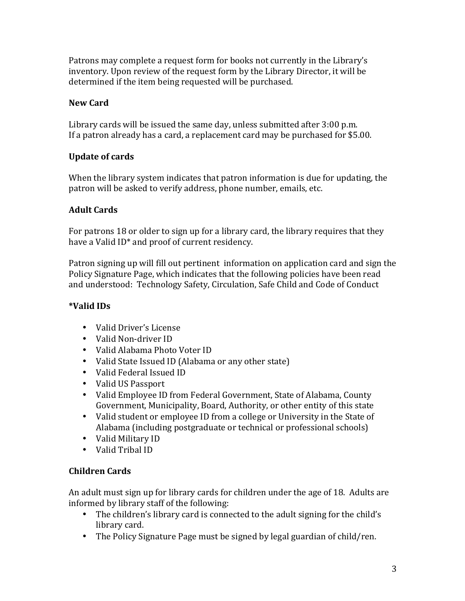Patrons may complete a request form for books not currently in the Library's inventory. Upon review of the request form by the Library Director, it will be determined if the item being requested will be purchased.

## **New Card**

Library cards will be issued the same day, unless submitted after 3:00 p.m. If a patron already has a card, a replacement card may be purchased for \$5.00.

# **Update** of cards

When the library system indicates that patron information is due for updating, the patron will be asked to verify address, phone number, emails, etc.

# **Adult Cards**

For patrons 18 or older to sign up for a library card, the library requires that they have a Valid  $ID^*$  and proof of current residency.

Patron signing up will fill out pertinent information on application card and sign the Policy Signature Page, which indicates that the following policies have been read and understood: Technology Safety, Circulation, Safe Child and Code of Conduct

# **\*Valid IDs**

- Valid Driver's License
- Valid Non-driver ID
- Valid Alabama Photo Voter ID
- Valid State Issued ID (Alabama or any other state)
- Valid Federal Issued ID
- Valid US Passport
- Valid Employee ID from Federal Government, State of Alabama, County Government, Municipality, Board, Authority, or other entity of this state
- Valid student or employee ID from a college or University in the State of Alabama (including postgraduate or technical or professional schools)
- Valid Military ID
- Valid Tribal ID

# **Children Cards**

An adult must sign up for library cards for children under the age of 18. Adults are informed by library staff of the following:

- The children's library card is connected to the adult signing for the child's library card.
- The Policy Signature Page must be signed by legal guardian of child/ren.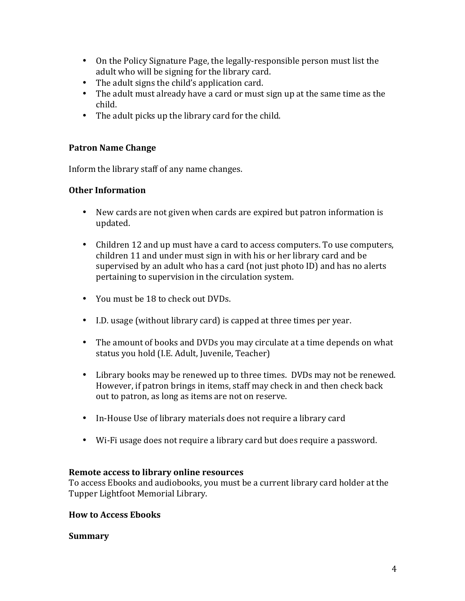- On the Policy Signature Page, the legally-responsible person must list the adult who will be signing for the library card.
- The adult signs the child's application card.
- The adult must already have a card or must sign up at the same time as the child.
- The adult picks up the library card for the child.

## **Patron Name Change**

Inform the library staff of any name changes.

## **Other Information**

- New cards are not given when cards are expired but patron information is updated.
- Children 12 and up must have a card to access computers. To use computers, children 11 and under must sign in with his or her library card and be supervised by an adult who has a card (not just photo ID) and has no alerts pertaining to supervision in the circulation system.
- You must be 18 to check out DVDs.
- I.D. usage (without library card) is capped at three times per year.
- The amount of books and DVDs you may circulate at a time depends on what status you hold (I.E. Adult, Juvenile, Teacher)
- Library books may be renewed up to three times. DVDs may not be renewed. However, if patron brings in items, staff may check in and then check back out to patron, as long as items are not on reserve.
- In-House Use of library materials does not require a library card
- Wi-Fi usage does not require a library card but does require a password.

#### **Remote access to library online resources**

To access Ebooks and audiobooks, you must be a current library card holder at the Tupper Lightfoot Memorial Library.

#### **How to Access Ebooks**

#### **Summary**